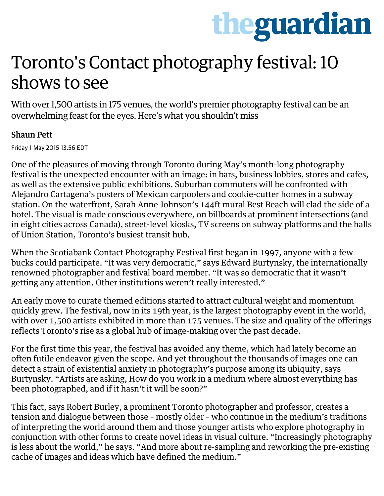# theguardian

## Toronto's Contact photography festival: 10 shows to see

With over 1,500 artists in 175 venues, the world's premier photography festival can be an overwhelming feast for the eyes. Here's what you shouldn't miss

#### [Shaun Pett](http://www.theguardian.com/profile/shaun-pett)

Friday 1 May 2015 13.56 EDT

One of the pleasures of moving through Toronto during May's month-long photography festival is the unexpected encounter with an image: in bars, business lobbies, stores and cafes, as well as the extensive public exhibitions. Suburban commuters will be confronted with [Alejandro Cartagena'](http://alejandrocartagena.com/)s posters of Mexican carpoolers and cookie-cutter homes in a subway station. On the waterfront, [Sarah Anne Johnson'](http://saulgallery.com/artists/sarah-anne-johnson/wonderlust)s 144ft mural Best Beach will clad the side of a hotel. The visual is made conscious everywhere, on billboards at prominent intersections (and in eight cities across Canada), street-level kiosks, TV screens on subway platforms and the halls of Union Station, Toronto's busiest transit hub.

When the [Scotiabank Contact Photography Festival](http://scotiabankcontactphoto.com/) first began in 1997, anyone with a few bucks could participate. "It was very democratic," says Edward Burtynsky, the internationally renowned photographer and festival board member. "It was so democratic that it wasn't getting any attention. Other institutions weren't really interested."

An early move to curate themed editions started to attract cultural weight and momentum quickly grew. The festival, now in its 19th year, is the largest photography event in the world, with over 1,500 artists exhibited in more than 175 venues. The size and quality of the offerings reflects Toronto's rise as a global hub of image-making over the past decade.

For the first time this year, the festival has avoided any theme, which had lately become an often futile endeavor given the scope. And yet throughout the thousands of images one can detect a strain of existential anxiety in photography's purpose among its ubiquity, says Burtynsky. "Artists are asking, How do you work in a medium where almost everything has been photographed, and if it hasn't it will be soon?"

This fact, says [Robert Burley,](http://robertburley.com/) a prominent Toronto photographer and professor, creates a tension and dialogue between those – mostly older – who continue in the medium's traditions of interpreting the world around them and those younger artists who explore photography in conjunction with other forms to create novel ideas in visual culture. "Increasingly photography is less about the world," he says. "And more about re-sampling and reworking the pre-existing cache of images and ideas which have defined the medium."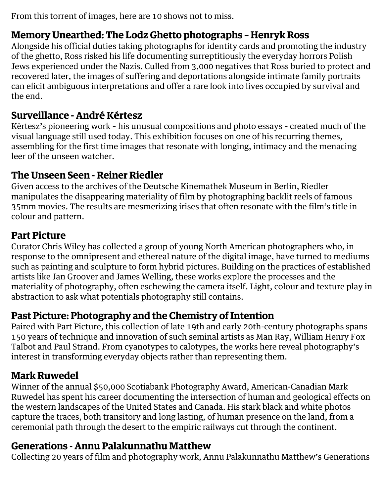From this torrent of images, here are 10 shows not to miss.

#### **Memory Unearthed: The Lodz Ghetto photographs** – **[Henryk Ross](http://www.telegraph.co.uk/culture/photography/11485378/Inside-the-Lodz-Ghetto-photos-by-Henryk-Ross.html)**

Alongside his official duties taking photographs for identity cards and promoting the industry of the ghetto, Ross risked his life documenting surreptitiously the everyday horrors Polish Jews experienced under the Nazis. Culled from 3,000 negatives that Ross buried to protect and recovered later, the images of suffering and deportations alongside intimate family portraits can elicit ambiguous interpretations and offer a rare look into lives occupied by survival and the end.

#### **Surveillance - [Andr](http://www.pbs.org/wnet/americanmasters/episodes/andre-kertesz/about-andre-kertesz/645/)**é **K**é**rtesz**

Kértesz's pioneering work – his unusual compositions and photo essays – created much of the visual language still used today. This exhibition focuses on one of his recurring themes, assembling for the first time images that resonate with longing, intimacy and the menacing leer of the unseen watcher.

#### **The Unseen Seen - [Reiner Riedler](http://www.photography.at/)**

Given access to the archives of the Deutsche Kinemathek Museum in Berlin, Riedler manipulates the disappearing materiality of film by photographing backlit reels of famous 35mm movies. The results are mesmerizing irises that often resonate with the film's title in colour and pattern.

#### **Part Picture**

Curator Chris Wiley has collected a group of young North American photographers who, in response to the omnipresent and ethereal nature of the digital image, have turned to mediums such as painting and sculpture to form hybrid pictures. Building on the practices of established artists like [Jan Groover](http://www.nytimes.com/2012/01/12/arts/design/jan-groover-postmodern-photographer-dies-at-68.html?_r=0) and [James Welling,](http://jameswelling.net/) these works explore the processes and the materiality of photography, often eschewing the camera itself. Light, colour and texture play in abstraction to ask what potentials photography still contains.

#### **Past Picture: Photography and the Chemistry of Intention**

Paired with Part Picture, this collection of late 19th and early 20th-century photographs spans 150 years of technique and innovation of such seminal artists as Man Ray, William Henry Fox [Talbot and Paul Strand. From cyanotypes to calotypes, the works here reveal photography's](http://www.metmuseum.org/toah/hd/tlbt/hd_tlbt.htm) interest in transforming everyday objects rather than representing them.

#### **[Mark Ruwedel](http://www.yossimilo.com/artists/mark_ruwe/)**

Winner of the annual \$50,000 Scotiabank [Photography](http://www.theguardian.com/artanddesign/photography) Award, American-Canadian Mark Ruwedel has spent his career documenting the intersection of human and geological effects on the western landscapes of the United States and Canada. His stark black and white photos capture the traces, both transitory and long lasting, of human presence on the land, from a ceremonial path through the desert to the empiric railways cut through the continent.

#### **Generations - [Annu Palakunnathu Matthew](http://www.annumatthew.com/)**

Collecting 20 years of film and photography work, Annu Palakunnathu Matthew's Generations